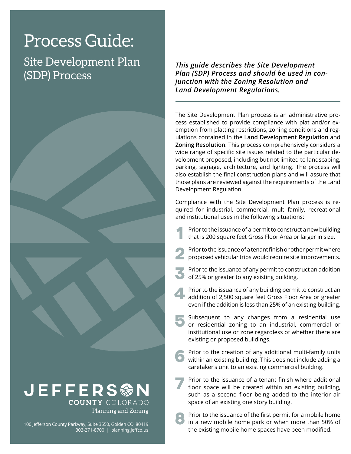# Process Guide:

Site Development Plan (SDP) Process



100 Jefferson County Parkway, Suite 3550, Golden CO, 80419 303-271-8700 | [planning.jeffco.us](http://planning.jeffco.us)

*This guide describes the Site Development Plan (SDP) Process and should be used in conjunction with the Zoning Resolution and Land Development Regulations.*

The Site Development Plan process is an administrative process established to provide compliance with plat and/or exemption from platting restrictions, zoning conditions and regulations contained in the **[Land Development Regulation](https://www.jeffco.us/2463/)** and **[Zoning Resolution](https://www.jeffco.us/2460/)**. This process comprehensively considers a wide range of specific site issues related to the particular development proposed, including but not limited to landscaping, parking, signage, architecture, and lighting. The process will also establish the final construction plans and will assure that those plans are reviewed against the requirements of the Land Development Regulation.

Compliance with the Site Development Plan process is required for industrial, commercial, multi-family, recreational and institutional uses in the following situations:

- Prior to the issuance of a permit to construct a new building that is 200 square feet Gross Floor Area or larger in size. **1**
- Prior to the issuance of a tenant finish or other permit where proposed vehicular trips would require site improvements. **2**
- Prior to the issuance of any permit to construct an addition of 25% or greater to any existing building. **3**
- Prior to the issuance of any building permit to construct an addition of 2,500 square feet Gross Floor Area or greater even if the addition is less than 25% of an existing building. **4**
- Subsequent to any changes from a residential use or residential zoning to an industrial, commercial or institutional use or zone regardless of whether there are existing or proposed buildings. **5**
- Prior to the creation of any additional multi-family units within an existing building. This does not include adding a caretaker's unit to an existing commercial building. **6**
- Prior to the issuance of a tenant finish where additional floor space will be created within an existing building, such as a second floor being added to the interior air space of an existing one story building. **7**
- Prior to the issuance of the first permit for a mobile home in a new mobile home park or when more than 50% of the existing mobile home spaces have been modified. **8**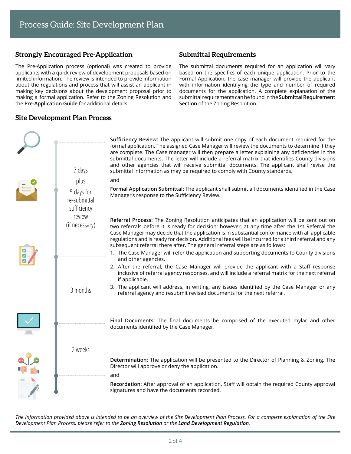## **Strongly Encouraged Pre-Application**

The Pre-Application process (optional) was created to provide applicants with a quick review of development proposals based on limited information. The review is intended to provide information about the regulations and process that will assist an applicant in making key decisions about the development proposal prior to making a formal application. Refer to the Zoning Resolution and the **[Pre-Application Guide](https://www.jeffco.us/documentcenter/view/1608)** for additional details.

#### **Site Development Plan Process**

#### **Submittal Requirements**

The submittal documents required for an application will vary based on the specifics of each unique application. Prior to the Formal Application, the case manager will provide the applicant with information identifying the type and number of required documents for the application. A complete explanation of the submittal requirements can be found in the **[Submittal Requirement](https://www.jeffco.us/DocumentCenter/View/18083/) [Section](https://www.jeffco.us/DocumentCenter/View/18083/)** of the Zoning Resolution.

|  | 7 days                                    | Sufficiency Review: The applicant will submit one copy of each document required for the<br>formal application. The assigned Case Manager will review the documents to determine if they<br>are complete. The Case manager will then prepare a letter explaining any deficiencies in the<br>submittal documents. The letter will include a referral matrix that identifies County divisions<br>and other agencies that will receive submittal documents. The applicant shall revise the<br>submittal information as may be required to comply with County standards. |
|--|-------------------------------------------|----------------------------------------------------------------------------------------------------------------------------------------------------------------------------------------------------------------------------------------------------------------------------------------------------------------------------------------------------------------------------------------------------------------------------------------------------------------------------------------------------------------------------------------------------------------------|
|  | plus                                      | and                                                                                                                                                                                                                                                                                                                                                                                                                                                                                                                                                                  |
|  | 5 days for<br>re-submittal<br>sufficiency | Formal Application Submittal: The applicant shall submit all documents identified in the Case<br>Manager's response to the Sufficiency Review.                                                                                                                                                                                                                                                                                                                                                                                                                       |
|  | review<br>(if necessary)                  | Referral Process: The Zoning Resolution anticipates that an application will be sent out on<br>two referrals before it is ready for decision; however, at any time after the 1st Referral the<br>Case Manager may decide that the application is in substantial conformance with all applicable<br>regulations and is ready for decision. Additional fees will be incurred for a third referral and any<br>subsequent referral there after. The general referral steps are as follows:                                                                               |
|  |                                           | 1. The Case Manager will refer the application and supporting documents to County divisions<br>and other agencies.                                                                                                                                                                                                                                                                                                                                                                                                                                                   |
|  |                                           | 2. After the referral, the Case Manager will provide the applicant with a Staff response<br>inclusive of referral agency responses, and will include a referral matrix for the next referral<br>if applicable.                                                                                                                                                                                                                                                                                                                                                       |
|  | 3 months                                  | 3. The applicant will address, in writing, any issues identified by the Case Manager or any<br>referral agency and resubmit revised documents for the next referral.                                                                                                                                                                                                                                                                                                                                                                                                 |
|  |                                           |                                                                                                                                                                                                                                                                                                                                                                                                                                                                                                                                                                      |
|  |                                           | Final Documents: The final documents be comprised of the executed mylar and other<br>documents identified by the Case Manager.                                                                                                                                                                                                                                                                                                                                                                                                                                       |
|  | 2 weeks                                   |                                                                                                                                                                                                                                                                                                                                                                                                                                                                                                                                                                      |
|  |                                           | Determination: The application will be presented to the Director of Planning & Zoning. The<br>Director will approve or deny the application.                                                                                                                                                                                                                                                                                                                                                                                                                         |
|  |                                           | and                                                                                                                                                                                                                                                                                                                                                                                                                                                                                                                                                                  |
|  |                                           | Recordation: After approval of an application, Staff will obtain the required County approval<br>signatures and have the documents recorded.                                                                                                                                                                                                                                                                                                                                                                                                                         |

*The information provided above is intended to be an overview of the Site Development Plan Process. For a complete explanation of the Site Development Plan Process, please refer to the [Zoning Resolution](https://www.jeffco.us/2460/) or the [Land Development Regulation](https://www.jeffco.us/2463/).*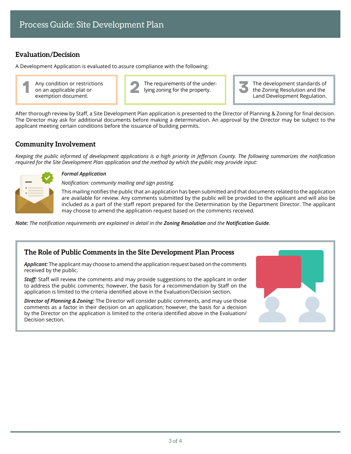## **Evaluation/Decision**

A Development Application is evaluated to assure compliance with the following:

Any condition or restrictions on an applicable plat or exemption document.



The development standards of the Zoning Resolution and the Land Development Regulation.

After thorough review by Staff, a Site Development Plan application is presented to the Director of Planning & Zoning for final decision. The Director may ask for additional documents before making a determination. An approval by the Director may be subject to the applicant meeting certain conditions before the issuance of building permits.

## **Community Involvement**

*Keeping the public informed of development applications is a high priority in Jefferson County. The following summarizes the notification required for the Site Development Plan application and the method by which the public may provide input:*



#### *Formal Application*

*Notification: community mailing and sign posting.*

This mailing notifies the public that an application has been submitted and that documents related to the application are available for review. Any comments submitted by the public will be provided to the applicant and will also be included as a part of the staff report prepared for the Determination by the Department Director. The applicant may choose to amend the application request based on the comments received.

*Note: The notification requirements are explained in detail in the [Zoning Resolution](https://www.jeffco.us/2460/) and the [Notification Guide](https://www.jeffco.us/DocumentCenter/View/2458/).*

## **The Role of Public Comments in the Site Development Plan Process**

*Applicant:* The applicant may choose to amend the application request based on the comments received by the public.

*Staff:* Staff will review the comments and may provide suggestions to the applicant in order to address the public comments; however, the basis for a recommendation by Staff on the application is limited to the criteria identified above in the Evaluation/Decision section.

*Director of Planning & Zoning:* The Director will consider public comments, and may use those comments as a factor in their decision on an application; however, the basis for a decision by the Director on the application is limited to the criteria identified above in the Evaluation/ Decision section.